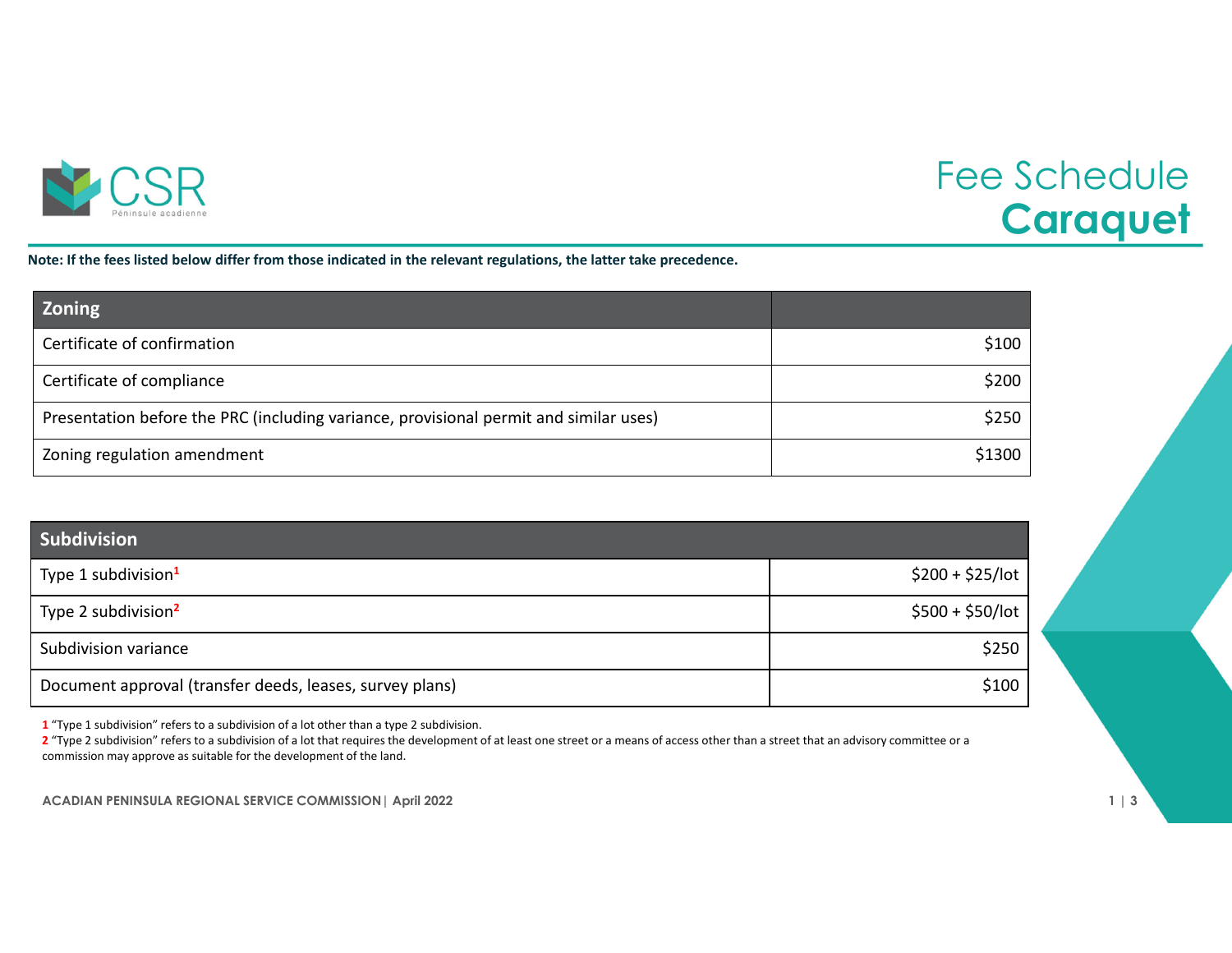

## Fee Schedule **Caraquet**

Note: If the fees listed below differ from those indicated in the relevant regulations, the latter take precedence.

| <b>Zoning</b>                                                                         |        |
|---------------------------------------------------------------------------------------|--------|
| Certificate of confirmation                                                           | \$100  |
| Certificate of compliance                                                             | \$200  |
| Presentation before the PRC (including variance, provisional permit and similar uses) | \$250  |
| Zoning regulation amendment                                                           | \$1300 |

| <b>Subdivision</b>                                       |                   |
|----------------------------------------------------------|-------------------|
| Type 1 subdivision <sup>1</sup>                          | $$200 + $25/$ lot |
| Type 2 subdivision <sup>2</sup>                          | $$500 + $50/$ lot |
| Subdivision variance                                     | \$250             |
| Document approval (transfer deeds, leases, survey plans) | \$100             |

**1** "Type 1 subdivision" refers to <sup>a</sup> subdivision of <sup>a</sup> lot other than <sup>a</sup> type 2 subdivision.

**2** "Type 2 subdivision" refers to <sup>a</sup> subdivision of <sup>a</sup> lot that requires the development of at least one street or <sup>a</sup> means of access other than <sup>a</sup> street that an advisory committee or <sup>a</sup> commission may approve as suitable for the development of the land.

**ACADIAN PENINSULA REGIONAL SERVICE COMMISSION| April 2022 1 | 3**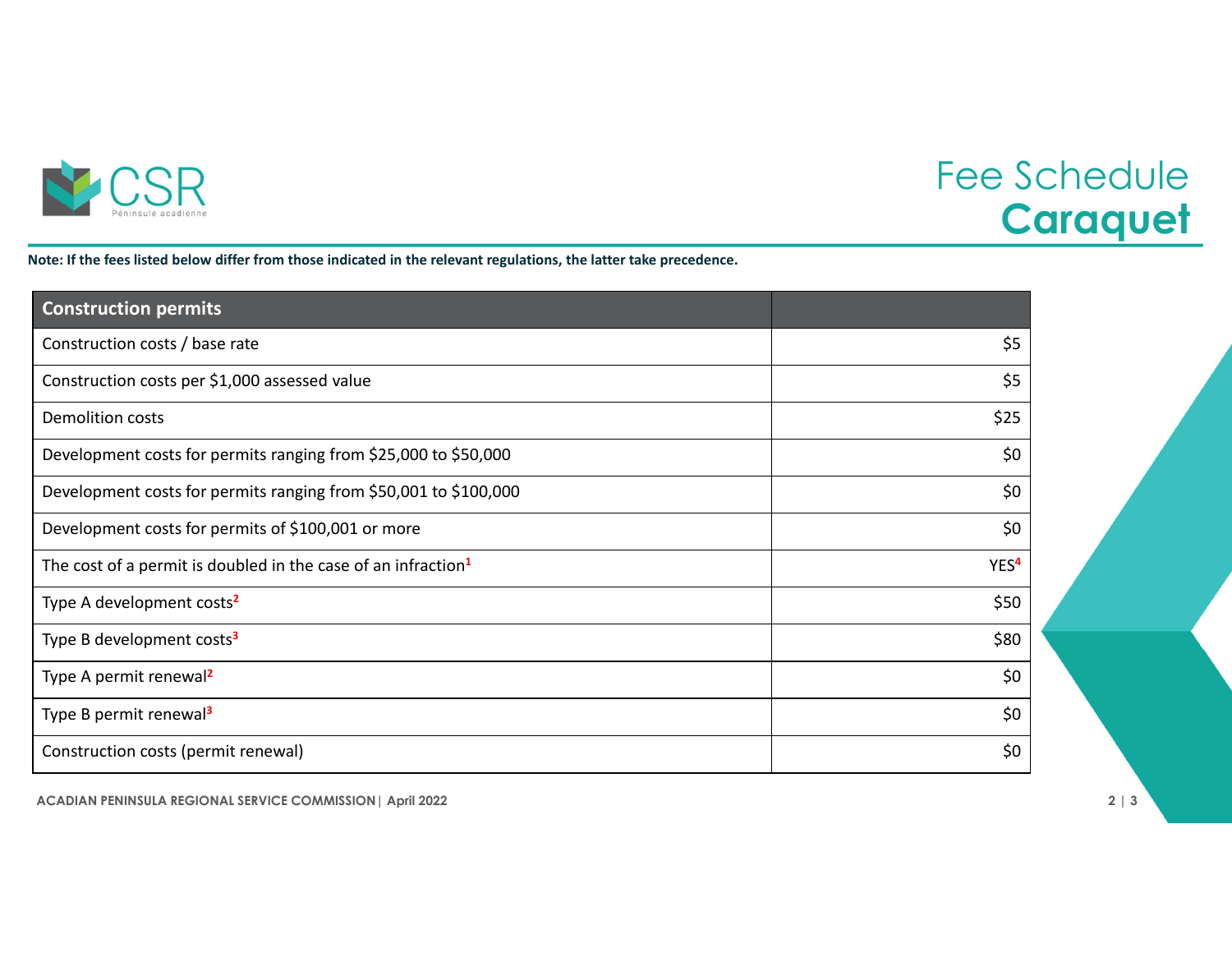

## Fee Schedule **Caraquet**

Note: If the fees listed below differ from those indicated in the relevant regulations, the latter take precedence.

| <b>Construction permits</b>                                               |                  |
|---------------------------------------------------------------------------|------------------|
| Construction costs / base rate                                            | \$5              |
| Construction costs per \$1,000 assessed value                             | \$5              |
| <b>Demolition costs</b>                                                   | \$25             |
| Development costs for permits ranging from \$25,000 to \$50,000           | \$0              |
| Development costs for permits ranging from \$50,001 to \$100,000          | \$0              |
| Development costs for permits of \$100,001 or more                        | \$0              |
| The cost of a permit is doubled in the case of an infraction <sup>1</sup> | YES <sup>4</sup> |
| Type A development costs <sup>2</sup>                                     | \$50             |
| Type B development costs <sup>3</sup>                                     | \$80             |
| Type A permit renewal <sup>2</sup>                                        | \$0              |
| Type B permit renewal <sup>3</sup>                                        | \$0              |
| Construction costs (permit renewal)                                       | \$0              |

**ACADIAN PENINSULA REGIONAL SERVICE COMMISSION| April 2022 2 | 3**